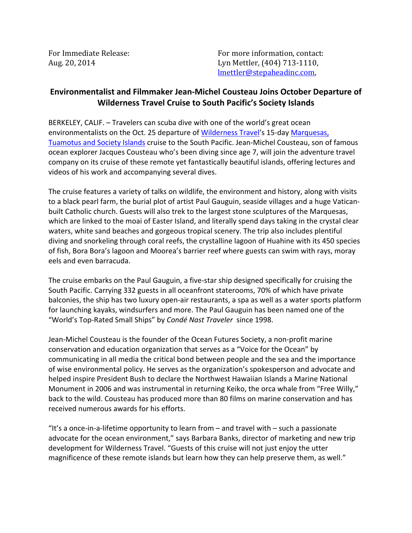For Immediate Release: The Contact: For more information, contact: Aug. 20, 2014 Lyn Mettler, (404) 713-1110, lmettler@stepaheadinc.com,

## **Environmentalist and Filmmaker Jean-Michel Cousteau Joins October Departure of Wilderness Travel Cruise to South Pacific's Society Islands**

BERKELEY, CALIF. – Travelers can scuba dive with one of the world's great ocean environmentalists on the Oct. 25 departure of [Wilderness Travel's](http://www.wildernesstravel.com) 15-day [Marquesas,](http://www.wildernesstravel.com/trip/french-polynesia/cruise-tuamotus-marquesas-huahine-bora-bora-moorea-snorkeling-paul-gauguin)  [Tuamotus and Society Islands](http://www.wildernesstravel.com/trip/french-polynesia/cruise-tuamotus-marquesas-huahine-bora-bora-moorea-snorkeling-paul-gauguin) cruise to the South Pacific. Jean-Michel Cousteau, son of famous ocean explorer Jacques Cousteau who's been diving since age 7, will join the adventure travel company on its cruise of these remote yet fantastically beautiful islands, offering lectures and videos of his work and accompanying several dives.

The cruise features a variety of talks on wildlife, the environment and history, along with visits to a black pearl farm, the burial plot of artist Paul Gauguin, seaside villages and a huge Vaticanbuilt Catholic church. Guests will also trek to the largest stone sculptures of the Marquesas, which are linked to the moai of Easter Island, and literally spend days taking in the crystal clear waters, white sand beaches and gorgeous tropical scenery. The trip also includes plentiful diving and snorkeling through coral reefs, the crystalline lagoon of Huahine with its 450 species of fish, Bora Bora's lagoon and Moorea's barrier reef where guests can swim with rays, moray eels and even barracuda.

The cruise embarks on the Paul Gauguin, a five-star ship designed specifically for cruising the South Pacific. Carrying 332 guests in all oceanfront staterooms, 70% of which have private balconies, the ship has two luxury open-air restaurants, a spa as well as a water sports platform for launching kayaks, windsurfers and more. The Paul Gauguin has been named one of the "World's Top-Rated Small Ships" by *Condé Nast Traveler* since 1998.

Jean-Michel Cousteau is the founder of the Ocean Futures Society, a non-profit marine conservation and education organization that serves as a "Voice for the Ocean" by communicating in all media the critical bond between people and the sea and the importance of wise environmental policy. He serves as the organization's spokesperson and advocate and helped inspire President Bush to declare the Northwest Hawaiian Islands a Marine National Monument in 2006 and was instrumental in returning Keiko, the orca whale from "Free Willy," back to the wild. Cousteau has produced more than 80 films on marine conservation and has received numerous awards for his efforts.

"It's a once-in-a-lifetime opportunity to learn from – and travel with – such a passionate advocate for the ocean environment," says Barbara Banks, director of marketing and new trip development for Wilderness Travel. "Guests of this cruise will not just enjoy the utter magnificence of these remote islands but learn how they can help preserve them, as well."